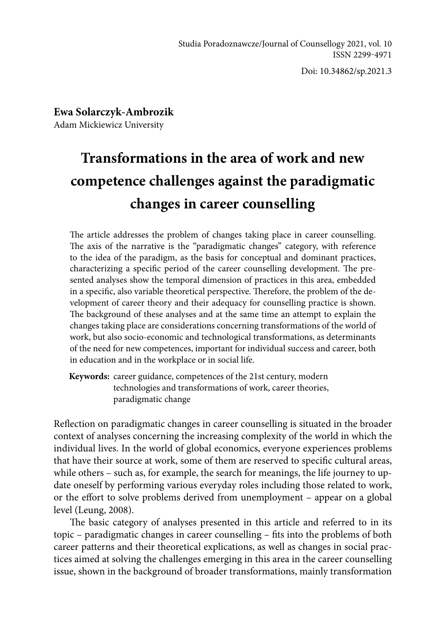Doi: 10.34862/sp.2021.3

**Ewa Solarczyk-Ambrozik** Adam Mickiewicz University

# **Transformations in the area of work and new competence challenges against the paradigmatic changes in career counselling**

The article addresses the problem of changes taking place in career counselling. The axis of the narrative is the "paradigmatic changes" category, with reference to the idea of the paradigm, as the basis for conceptual and dominant practices, characterizing a specific period of the career counselling development. The presented analyses show the temporal dimension of practices in this area, embedded in a specific, also variable theoretical perspective. Therefore, the problem of the development of career theory and their adequacy for counselling practice is shown. The background of these analyses and at the same time an attempt to explain the changes taking place are considerations concerning transformations of the world of work, but also socio-economic and technological transformations, as determinants of the need for new competences, important for individual success and career, both in education and in the workplace or in social life.

**Keywords:** career guidance, competences of the 21st century, modern technologies and transformations of work, career theories, paradigmatic change

Reflection on paradigmatic changes in career counselling is situated in the broader context of analyses concerning the increasing complexity of the world in which the individual lives. In the world of global economics, everyone experiences problems that have their source at work, some of them are reserved to specific cultural areas, while others – such as, for example, the search for meanings, the life journey to update oneself by performing various everyday roles including those related to work, or the effort to solve problems derived from unemployment – appear on a global level (Leung, 2008).

The basic category of analyses presented in this article and referred to in its topic – paradigmatic changes in career counselling – fits into the problems of both career patterns and their theoretical explications, as well as changes in social practices aimed at solving the challenges emerging in this area in the career counselling issue, shown in the background of broader transformations, mainly transformation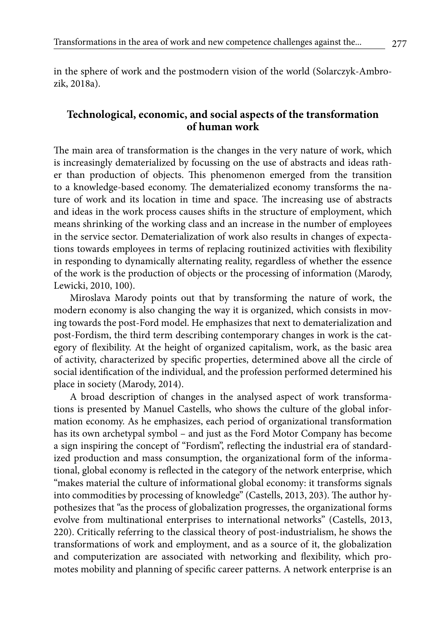in the sphere of work and the postmodern vision of the world (Solarczyk-Ambrozik, 2018a).

## **Technological, economic, and social aspects of the transformation of human work**

The main area of transformation is the changes in the very nature of work, which is increasingly dematerialized by focussing on the use of abstracts and ideas rather than production of objects. This phenomenon emerged from the transition to a knowledge-based economy. The dematerialized economy transforms the nature of work and its location in time and space. The increasing use of abstracts and ideas in the work process causes shifts in the structure of employment, which means shrinking of the working class and an increase in the number of employees in the service sector. Dematerialization of work also results in changes of expectations towards employees in terms of replacing routinized activities with flexibility in responding to dynamically alternating reality, regardless of whether the essence of the work is the production of objects or the processing of information (Marody, Lewicki, 2010, 100).

Miroslava Marody points out that by transforming the nature of work, the modern economy is also changing the way it is organized, which consists in moving towards the post-Ford model. He emphasizes that next to dematerialization and post-Fordism, the third term describing contemporary changes in work is the category of flexibility. At the height of organized capitalism, work, as the basic area of activity, characterized by specific properties, determined above all the circle of social identification of the individual, and the profession performed determined his place in society (Marody, 2014).

A broad description of changes in the analysed aspect of work transformations is presented by Manuel Castells, who shows the culture of the global information economy. As he emphasizes, each period of organizational transformation has its own archetypal symbol – and just as the Ford Motor Company has become a sign inspiring the concept of "Fordism", reflecting the industrial era of standardized production and mass consumption, the organizational form of the informational, global economy is reflected in the category of the network enterprise, which "makes material the culture of informational global economy: it transforms signals into commodities by processing of knowledge" (Castells, 2013, 203). The author hypothesizes that "as the process of globalization progresses, the organizational forms evolve from multinational enterprises to international networks" (Castells, 2013, 220). Critically referring to the classical theory of post-industrialism, he shows the transformations of work and employment, and as a source of it, the globalization and computerization are associated with networking and flexibility, which promotes mobility and planning of specific career patterns. A network enterprise is an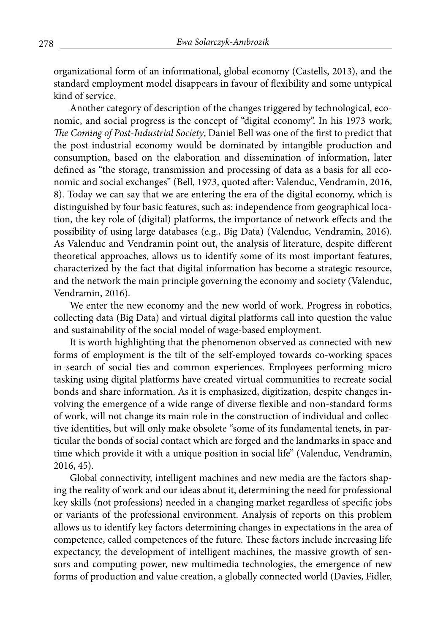organizational form of an informational, global economy (Castells, 2013), and the standard employment model disappears in favour of flexibility and some untypical kind of service.

Another category of description of the changes triggered by technological, economic, and social progress is the concept of "digital economy". In his 1973 work, *The Coming of Post-Industrial Society*, Daniel Bell was one of the first to predict that the post-industrial economy would be dominated by intangible production and consumption, based on the elaboration and dissemination of information, later defined as "the storage, transmission and processing of data as a basis for all economic and social exchanges" (Bell, 1973, quoted after: Valenduc, Vendramin, 2016, 8). Today we can say that we are entering the era of the digital economy, which is distinguished by four basic features, such as: independence from geographical location, the key role of (digital) platforms, the importance of network effects and the possibility of using large databases (e.g., Big Data) (Valenduc, Vendramin, 2016). As Valenduc and Vendramin point out, the analysis of literature, despite different theoretical approaches, allows us to identify some of its most important features, characterized by the fact that digital information has become a strategic resource, and the network the main principle governing the economy and society (Valenduc, Vendramin, 2016).

We enter the new economy and the new world of work. Progress in robotics, collecting data (Big Data) and virtual digital platforms call into question the value and sustainability of the social model of wage-based employment.

It is worth highlighting that the phenomenon observed as connected with new forms of employment is the tilt of the self-employed towards co-working spaces in search of social ties and common experiences. Employees performing micro tasking using digital platforms have created virtual communities to recreate social bonds and share information. As it is emphasized, digitization, despite changes involving the emergence of a wide range of diverse flexible and non-standard forms of work, will not change its main role in the construction of individual and collective identities, but will only make obsolete "some of its fundamental tenets, in particular the bonds of social contact which are forged and the landmarks in space and time which provide it with a unique position in social life" (Valenduc, Vendramin, 2016, 45).

Global connectivity, intelligent machines and new media are the factors shaping the reality of work and our ideas about it, determining the need for professional key skills (not professions) needed in a changing market regardless of specific jobs or variants of the professional environment. Analysis of reports on this problem allows us to identify key factors determining changes in expectations in the area of competence, called competences of the future. These factors include increasing life expectancy, the development of intelligent machines, the massive growth of sensors and computing power, new multimedia technologies, the emergence of new forms of production and value creation, a globally connected world (Davies, Fidler,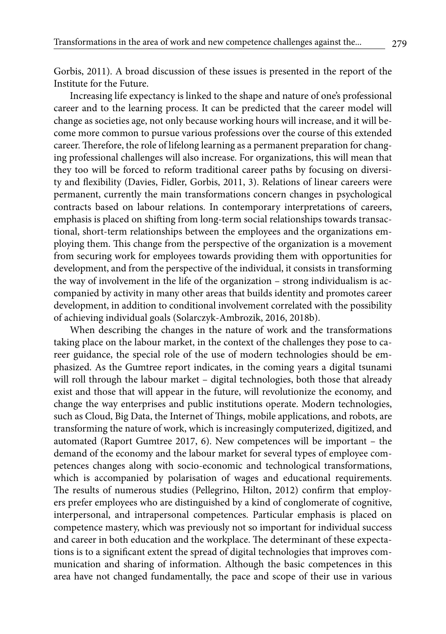Gorbis, 2011). A broad discussion of these issues is presented in the report of the Institute for the Future.

Increasing life expectancy is linked to the shape and nature of one's professional career and to the learning process. It can be predicted that the career model will change as societies age, not only because working hours will increase, and it will become more common to pursue various professions over the course of this extended career. Therefore, the role of lifelong learning as a permanent preparation for changing professional challenges will also increase. For organizations, this will mean that they too will be forced to reform traditional career paths by focusing on diversity and flexibility (Davies, Fidler, Gorbis, 2011, 3). Relations of linear careers were permanent, currently the main transformations concern changes in psychological contracts based on labour relations. In contemporary interpretations of careers, emphasis is placed on shifting from long-term social relationships towards transactional, short-term relationships between the employees and the organizations employing them. This change from the perspective of the organization is a movement from securing work for employees towards providing them with opportunities for development, and from the perspective of the individual, it consists in transforming the way of involvement in the life of the organization – strong individualism is accompanied by activity in many other areas that builds identity and promotes career development, in addition to conditional involvement correlated with the possibility of achieving individual goals (Solarczyk-Ambrozik, 2016, 2018b).

When describing the changes in the nature of work and the transformations taking place on the labour market, in the context of the challenges they pose to career guidance, the special role of the use of modern technologies should be emphasized. As the Gumtree report indicates, in the coming years a digital tsunami will roll through the labour market – digital technologies, both those that already exist and those that will appear in the future, will revolutionize the economy, and change the way enterprises and public institutions operate. Modern technologies, such as Cloud, Big Data, the Internet of Things, mobile applications, and robots, are transforming the nature of work, which is increasingly computerized, digitized, and automated (Raport Gumtree 2017, 6). New competences will be important – the demand of the economy and the labour market for several types of employee competences changes along with socio-economic and technological transformations, which is accompanied by polarisation of wages and educational requirements. The results of numerous studies (Pellegrino, Hilton, 2012) confirm that employers prefer employees who are distinguished by a kind of conglomerate of cognitive, interpersonal, and intrapersonal competences. Particular emphasis is placed on competence mastery, which was previously not so important for individual success and career in both education and the workplace. The determinant of these expectations is to a significant extent the spread of digital technologies that improves communication and sharing of information. Although the basic competences in this area have not changed fundamentally, the pace and scope of their use in various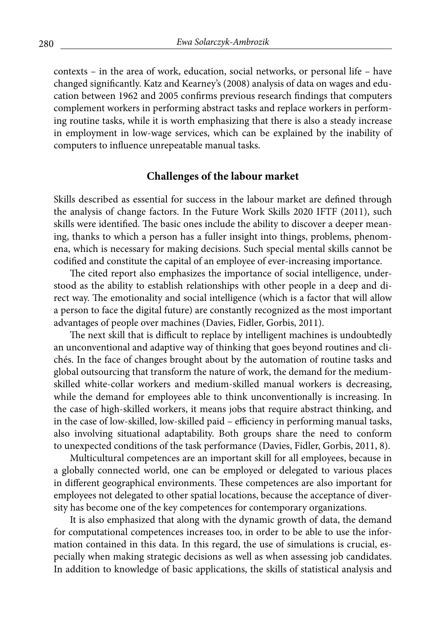contexts – in the area of work, education, social networks, or personal life – have changed significantly. Katz and Kearney's (2008) analysis of data on wages and education between 1962 and 2005 confirms previous research findings that computers complement workers in performing abstract tasks and replace workers in performing routine tasks, while it is worth emphasizing that there is also a steady increase in employment in low-wage services, which can be explained by the inability of computers to influence unrepeatable manual tasks.

# **Challenges of the labour market**

Skills described as essential for success in the labour market are defined through the analysis of change factors. In the Future Work Skills 2020 IFTF (2011), such skills were identified. The basic ones include the ability to discover a deeper meaning, thanks to which a person has a fuller insight into things, problems, phenomena, which is necessary for making decisions. Such special mental skills cannot be codified and constitute the capital of an employee of ever-increasing importance.

The cited report also emphasizes the importance of social intelligence, understood as the ability to establish relationships with other people in a deep and direct way. The emotionality and social intelligence (which is a factor that will allow a person to face the digital future) are constantly recognized as the most important advantages of people over machines (Davies, Fidler, Gorbis, 2011).

The next skill that is difficult to replace by intelligent machines is undoubtedly an unconventional and adaptive way of thinking that goes beyond routines and clichés. In the face of changes brought about by the automation of routine tasks and global outsourcing that transform the nature of work, the demand for the mediumskilled white-collar workers and medium-skilled manual workers is decreasing, while the demand for employees able to think unconventionally is increasing. In the case of high-skilled workers, it means jobs that require abstract thinking, and in the case of low-skilled, low-skilled paid – efficiency in performing manual tasks, also involving situational adaptability. Both groups share the need to conform to unexpected conditions of the task performance (Davies, Fidler, Gorbis, 2011, 8).

Multicultural competences are an important skill for all employees, because in a globally connected world, one can be employed or delegated to various places in different geographical environments. These competences are also important for employees not delegated to other spatial locations, because the acceptance of diversity has become one of the key competences for contemporary organizations.

It is also emphasized that along with the dynamic growth of data, the demand for computational competences increases too, in order to be able to use the information contained in this data. In this regard, the use of simulations is crucial, especially when making strategic decisions as well as when assessing job candidates. In addition to knowledge of basic applications, the skills of statistical analysis and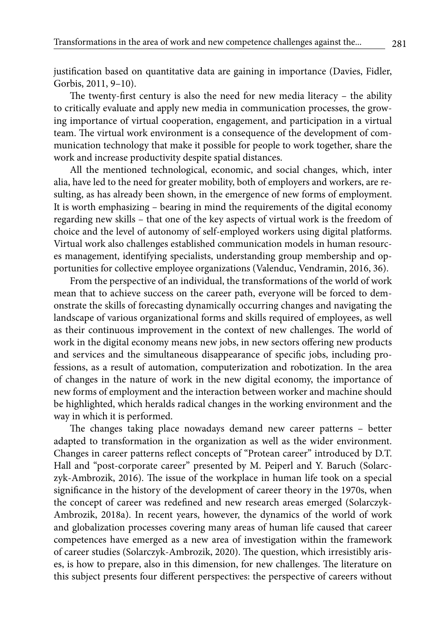justification based on quantitative data are gaining in importance (Davies, Fidler, Gorbis, 2011, 9–10).

The twenty-first century is also the need for new media literacy – the ability to critically evaluate and apply new media in communication processes, the growing importance of virtual cooperation, engagement, and participation in a virtual team. The virtual work environment is a consequence of the development of communication technology that make it possible for people to work together, share the work and increase productivity despite spatial distances.

All the mentioned technological, economic, and social changes, which, inter alia, have led to the need for greater mobility, both of employers and workers, are resulting, as has already been shown, in the emergence of new forms of employment. It is worth emphasizing – bearing in mind the requirements of the digital economy regarding new skills – that one of the key aspects of virtual work is the freedom of choice and the level of autonomy of self-employed workers using digital platforms. Virtual work also challenges established communication models in human resources management, identifying specialists, understanding group membership and opportunities for collective employee organizations (Valenduc, Vendramin, 2016, 36).

From the perspective of an individual, the transformations of the world of work mean that to achieve success on the career path, everyone will be forced to demonstrate the skills of forecasting dynamically occurring changes and navigating the landscape of various organizational forms and skills required of employees, as well as their continuous improvement in the context of new challenges. The world of work in the digital economy means new jobs, in new sectors offering new products and services and the simultaneous disappearance of specific jobs, including professions, as a result of automation, computerization and robotization. In the area of changes in the nature of work in the new digital economy, the importance of new forms of employment and the interaction between worker and machine should be highlighted, which heralds radical changes in the working environment and the way in which it is performed.

The changes taking place nowadays demand new career patterns – better adapted to transformation in the organization as well as the wider environment. Changes in career patterns reflect concepts of "Protean career" introduced by D.T. Hall and "post-corporate career" presented by M. Peiperl and Y. Baruch (Solarczyk-Ambrozik, 2016). The issue of the workplace in human life took on a special significance in the history of the development of career theory in the 1970s, when the concept of career was redefined and new research areas emerged (Solarczyk-Ambrozik, 2018a). In recent years, however, the dynamics of the world of work and globalization processes covering many areas of human life caused that career competences have emerged as a new area of investigation within the framework of career studies (Solarczyk-Ambrozik, 2020). The question, which irresistibly arises, is how to prepare, also in this dimension, for new challenges. The literature on this subject presents four different perspectives: the perspective of careers without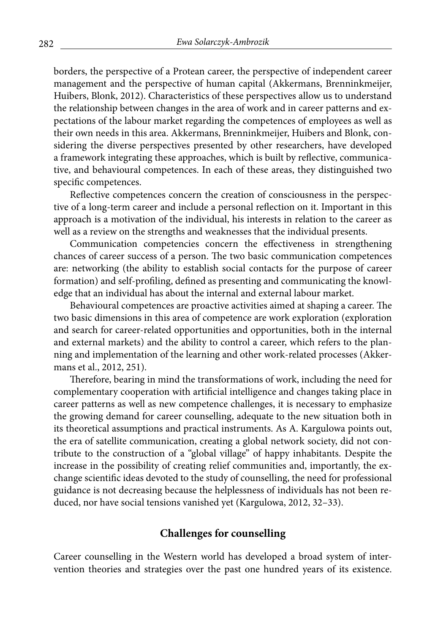borders, the perspective of a Protean career, the perspective of independent career management and the perspective of human capital (Akkermans, Brenninkmeijer, Huibers, Blonk, 2012). Characteristics of these perspectives allow us to understand the relationship between changes in the area of work and in career patterns and expectations of the labour market regarding the competences of employees as well as their own needs in this area. Akkermans, Brenninkmeijer, Huibers and Blonk, considering the diverse perspectives presented by other researchers, have developed a framework integrating these approaches, which is built by reflective, communicative, and behavioural competences. In each of these areas, they distinguished two specific competences.

Reflective competences concern the creation of consciousness in the perspective of a long-term career and include a personal reflection on it. Important in this approach is a motivation of the individual, his interests in relation to the career as well as a review on the strengths and weaknesses that the individual presents.

Communication competencies concern the effectiveness in strengthening chances of career success of a person. The two basic communication competences are: networking (the ability to establish social contacts for the purpose of career formation) and self-profiling, defined as presenting and communicating the knowledge that an individual has about the internal and external labour market.

Behavioural competences are proactive activities aimed at shaping a career. The two basic dimensions in this area of competence are work exploration (exploration and search for career-related opportunities and opportunities, both in the internal and external markets) and the ability to control a career, which refers to the planning and implementation of the learning and other work-related processes (Akkermans et al., 2012, 251).

Therefore, bearing in mind the transformations of work, including the need for complementary cooperation with artificial intelligence and changes taking place in career patterns as well as new competence challenges, it is necessary to emphasize the growing demand for career counselling, adequate to the new situation both in its theoretical assumptions and practical instruments. As A. Kargulowa points out, the era of satellite communication, creating a global network society, did not contribute to the construction of a "global village" of happy inhabitants. Despite the increase in the possibility of creating relief communities and, importantly, the exchange scientific ideas devoted to the study of counselling, the need for professional guidance is not decreasing because the helplessness of individuals has not been reduced, nor have social tensions vanished yet (Kargulowa, 2012, 32–33).

# **Challenges for counselling**

Career counselling in the Western world has developed a broad system of intervention theories and strategies over the past one hundred years of its existence.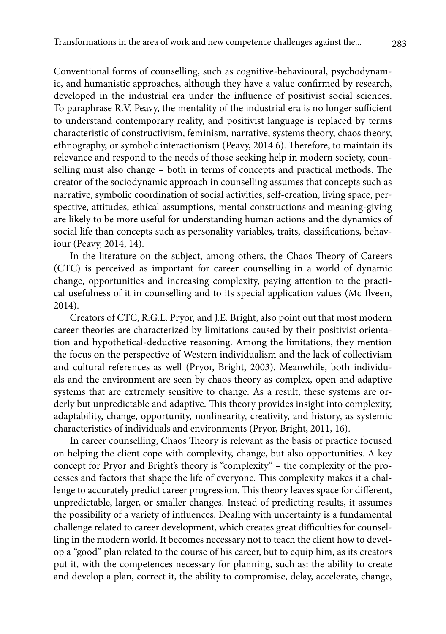Conventional forms of counselling, such as cognitive-behavioural, psychodynamic, and humanistic approaches, although they have a value confirmed by research, developed in the industrial era under the influence of positivist social sciences. To paraphrase R.V. Peavy, the mentality of the industrial era is no longer sufficient to understand contemporary reality, and positivist language is replaced by terms characteristic of constructivism, feminism, narrative, systems theory, chaos theory, ethnography, or symbolic interactionism (Peavy, 2014 6). Therefore, to maintain its relevance and respond to the needs of those seeking help in modern society, counselling must also change – both in terms of concepts and practical methods. The creator of the sociodynamic approach in counselling assumes that concepts such as narrative, symbolic coordination of social activities, self-creation, living space, perspective, attitudes, ethical assumptions, mental constructions and meaning-giving are likely to be more useful for understanding human actions and the dynamics of social life than concepts such as personality variables, traits, classifications, behaviour (Peavy, 2014, 14).

In the literature on the subject, among others, the Chaos Theory of Careers (CTC) is perceived as important for career counselling in a world of dynamic change, opportunities and increasing complexity, paying attention to the practical usefulness of it in counselling and to its special application values (Mc Ilveen, 2014).

Creators of CTC, R.G.L. Pryor, and J.E. Bright, also point out that most modern career theories are characterized by limitations caused by their positivist orientation and hypothetical-deductive reasoning. Among the limitations, they mention the focus on the perspective of Western individualism and the lack of collectivism and cultural references as well (Pryor, Bright, 2003). Meanwhile, both individuals and the environment are seen by chaos theory as complex, open and adaptive systems that are extremely sensitive to change. As a result, these systems are orderly but unpredictable and adaptive. This theory provides insight into complexity, adaptability, change, opportunity, nonlinearity, creativity, and history, as systemic characteristics of individuals and environments (Pryor, Bright, 2011, 16).

In career counselling, Chaos Theory is relevant as the basis of practice focused on helping the client cope with complexity, change, but also opportunities. A key concept for Pryor and Bright's theory is "complexity" – the complexity of the processes and factors that shape the life of everyone. This complexity makes it a challenge to accurately predict career progression. This theory leaves space for different, unpredictable, larger, or smaller changes. Instead of predicting results, it assumes the possibility of a variety of influences. Dealing with uncertainty is a fundamental challenge related to career development, which creates great difficulties for counselling in the modern world. It becomes necessary not to teach the client how to develop a "good" plan related to the course of his career, but to equip him, as its creators put it, with the competences necessary for planning, such as: the ability to create and develop a plan, correct it, the ability to compromise, delay, accelerate, change,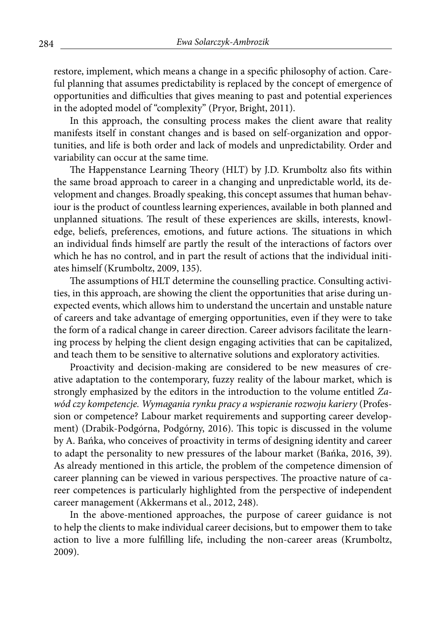restore, implement, which means a change in a specific philosophy of action. Careful planning that assumes predictability is replaced by the concept of emergence of opportunities and difficulties that gives meaning to past and potential experiences in the adopted model of "complexity" (Pryor, Bright, 2011).

In this approach, the consulting process makes the client aware that reality manifests itself in constant changes and is based on self-organization and opportunities, and life is both order and lack of models and unpredictability. Order and variability can occur at the same time.

The Happenstance Learning Theory (HLT) by J.D. Krumboltz also fits within the same broad approach to career in a changing and unpredictable world, its development and changes. Broadly speaking, this concept assumes that human behaviour is the product of countless learning experiences, available in both planned and unplanned situations. The result of these experiences are skills, interests, knowledge, beliefs, preferences, emotions, and future actions. The situations in which an individual finds himself are partly the result of the interactions of factors over which he has no control, and in part the result of actions that the individual initiates himself (Krumboltz, 2009, 135).

The assumptions of HLT determine the counselling practice. Consulting activities, in this approach, are showing the client the opportunities that arise during unexpected events, which allows him to understand the uncertain and unstable nature of careers and take advantage of emerging opportunities, even if they were to take the form of a radical change in career direction. Career advisors facilitate the learning process by helping the client design engaging activities that can be capitalized, and teach them to be sensitive to alternative solutions and exploratory activities.

Proactivity and decision-making are considered to be new measures of creative adaptation to the contemporary, fuzzy reality of the labour market, which is strongly emphasized by the editors in the introduction to the volume entitled *Zawód czy kompetencje. Wymagania rynku pracy a wspieranie rozwoju kariery* (Profession or competence? Labour market requirements and supporting career development) (Drabik-Podgórna, Podgórny, 2016). This topic is discussed in the volume by A. Bańka, who conceives of proactivity in terms of designing identity and career to adapt the personality to new pressures of the labour market (Bańka, 2016, 39). As already mentioned in this article, the problem of the competence dimension of career planning can be viewed in various perspectives. The proactive nature of career competences is particularly highlighted from the perspective of independent career management (Akkermans et al., 2012, 248).

In the above-mentioned approaches, the purpose of career guidance is not to help the clients to make individual career decisions, but to empower them to take action to live a more fulfilling life, including the non-career areas (Krumboltz, 2009).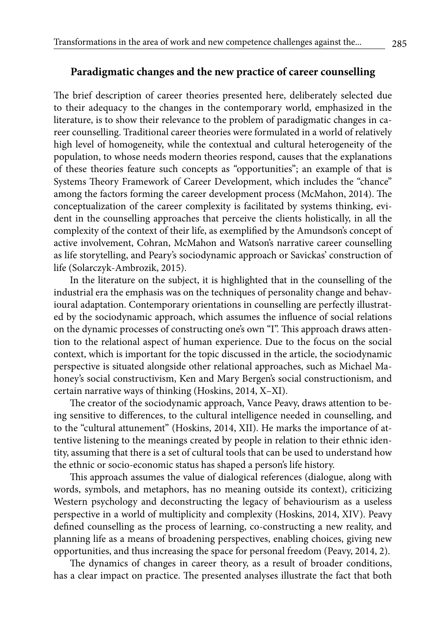## **Paradigmatic changes and the new practice of career counselling**

The brief description of career theories presented here, deliberately selected due to their adequacy to the changes in the contemporary world, emphasized in the literature, is to show their relevance to the problem of paradigmatic changes in career counselling. Traditional career theories were formulated in a world of relatively high level of homogeneity, while the contextual and cultural heterogeneity of the population, to whose needs modern theories respond, causes that the explanations of these theories feature such concepts as "opportunities"; an example of that is Systems Theory Framework of Career Development, which includes the "chance" among the factors forming the career development process (McMahon, 2014). The conceptualization of the career complexity is facilitated by systems thinking, evident in the counselling approaches that perceive the clients holistically, in all the complexity of the context of their life, as exemplified by the Amundson's concept of active involvement, Cohran, McMahon and Watson's narrative career counselling as life storytelling, and Peary's sociodynamic approach or Savickas' construction of life (Solarczyk-Ambrozik, 2015).

In the literature on the subject, it is highlighted that in the counselling of the industrial era the emphasis was on the techniques of personality change and behavioural adaptation. Contemporary orientations in counselling are perfectly illustrated by the sociodynamic approach, which assumes the influence of social relations on the dynamic processes of constructing one's own "I". This approach draws attention to the relational aspect of human experience. Due to the focus on the social context, which is important for the topic discussed in the article, the sociodynamic perspective is situated alongside other relational approaches, such as Michael Mahoney's social constructivism, Ken and Mary Bergen's social constructionism, and certain narrative ways of thinking (Hoskins, 2014, X–XI).

The creator of the sociodynamic approach, Vance Peavy, draws attention to being sensitive to differences, to the cultural intelligence needed in counselling, and to the "cultural attunement" (Hoskins, 2014, XII). He marks the importance of attentive listening to the meanings created by people in relation to their ethnic identity, assuming that there is a set of cultural tools that can be used to understand how the ethnic or socio-economic status has shaped a person's life history.

This approach assumes the value of dialogical references (dialogue, along with words, symbols, and metaphors, has no meaning outside its context), criticizing Western psychology and deconstructing the legacy of behaviourism as a useless perspective in a world of multiplicity and complexity (Hoskins, 2014, XIV). Peavy defined counselling as the process of learning, co-constructing a new reality, and planning life as a means of broadening perspectives, enabling choices, giving new opportunities, and thus increasing the space for personal freedom (Peavy, 2014, 2).

The dynamics of changes in career theory, as a result of broader conditions, has a clear impact on practice. The presented analyses illustrate the fact that both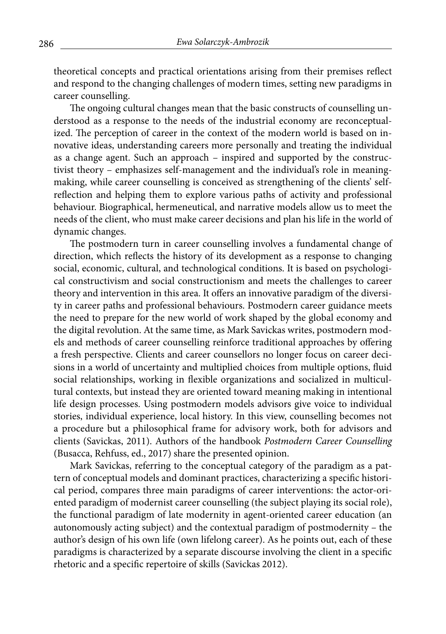theoretical concepts and practical orientations arising from their premises reflect and respond to the changing challenges of modern times, setting new paradigms in career counselling.

The ongoing cultural changes mean that the basic constructs of counselling understood as a response to the needs of the industrial economy are reconceptualized. The perception of career in the context of the modern world is based on innovative ideas, understanding careers more personally and treating the individual as a change agent. Such an approach – inspired and supported by the constructivist theory – emphasizes self-management and the individual's role in meaningmaking, while career counselling is conceived as strengthening of the clients' selfreflection and helping them to explore various paths of activity and professional behaviour. Biographical, hermeneutical, and narrative models allow us to meet the needs of the client, who must make career decisions and plan his life in the world of dynamic changes.

The postmodern turn in career counselling involves a fundamental change of direction, which reflects the history of its development as a response to changing social, economic, cultural, and technological conditions. It is based on psychological constructivism and social constructionism and meets the challenges to career theory and intervention in this area. It offers an innovative paradigm of the diversity in career paths and professional behaviours. Postmodern career guidance meets the need to prepare for the new world of work shaped by the global economy and the digital revolution. At the same time, as Mark Savickas writes, postmodern models and methods of career counselling reinforce traditional approaches by offering a fresh perspective. Clients and career counsellors no longer focus on career decisions in a world of uncertainty and multiplied choices from multiple options, fluid social relationships, working in flexible organizations and socialized in multicultural contexts, but instead they are oriented toward meaning making in intentional life design processes. Using postmodern models advisors give voice to individual stories, individual experience, local history. In this view, counselling becomes not a procedure but a philosophical frame for advisory work, both for advisors and clients (Savickas, 2011). Authors of the handbook *Postmodern Career Counselling* (Busacca, Rehfuss, ed., 2017) share the presented opinion.

Mark Savickas, referring to the conceptual category of the paradigm as a pattern of conceptual models and dominant practices, characterizing a specific historical period, compares three main paradigms of career interventions: the actor-oriented paradigm of modernist career counselling (the subject playing its social role), the functional paradigm of late modernity in agent-oriented career education (an autonomously acting subject) and the contextual paradigm of postmodernity – the author's design of his own life (own lifelong career). As he points out, each of these paradigms is characterized by a separate discourse involving the client in a specific rhetoric and a specific repertoire of skills (Savickas 2012).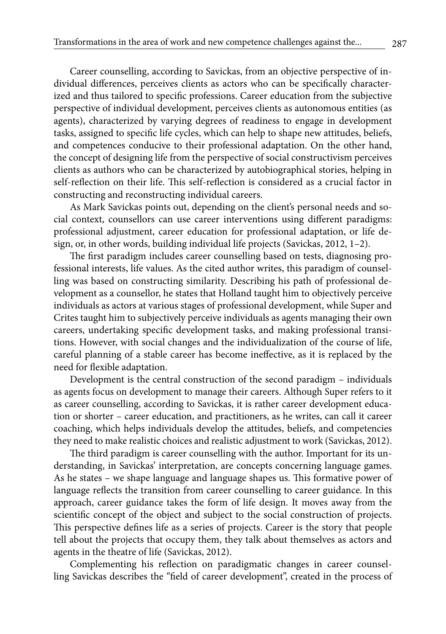Career counselling, according to Savickas, from an objective perspective of individual differences, perceives clients as actors who can be specifically characterized and thus tailored to specific professions. Career education from the subjective perspective of individual development, perceives clients as autonomous entities (as agents), characterized by varying degrees of readiness to engage in development tasks, assigned to specific life cycles, which can help to shape new attitudes, beliefs, and competences conducive to their professional adaptation. On the other hand, the concept of designing life from the perspective of social constructivism perceives clients as authors who can be characterized by autobiographical stories, helping in self-reflection on their life. This self-reflection is considered as a crucial factor in constructing and reconstructing individual careers.

As Mark Savickas points out, depending on the client's personal needs and social context, counsellors can use career interventions using different paradigms: professional adjustment, career education for professional adaptation, or life design, or, in other words, building individual life projects (Savickas, 2012, 1–2).

The first paradigm includes career counselling based on tests, diagnosing professional interests, life values. As the cited author writes, this paradigm of counselling was based on constructing similarity. Describing his path of professional development as a counsellor, he states that Holland taught him to objectively perceive individuals as actors at various stages of professional development, while Super and Crites taught him to subjectively perceive individuals as agents managing their own careers, undertaking specific development tasks, and making professional transitions. However, with social changes and the individualization of the course of life, careful planning of a stable career has become ineffective, as it is replaced by the need for flexible adaptation.

Development is the central construction of the second paradigm – individuals as agents focus on development to manage their careers. Although Super refers to it as career counselling, according to Savickas, it is rather career development education or shorter – career education, and practitioners, as he writes, can call it career coaching, which helps individuals develop the attitudes, beliefs, and competencies they need to make realistic choices and realistic adjustment to work (Savickas, 2012).

The third paradigm is career counselling with the author. Important for its understanding, in Savickas' interpretation, are concepts concerning language games. As he states – we shape language and language shapes us. This formative power of language reflects the transition from career counselling to career guidance. In this approach, career guidance takes the form of life design. It moves away from the scientific concept of the object and subject to the social construction of projects. This perspective defines life as a series of projects. Career is the story that people tell about the projects that occupy them, they talk about themselves as actors and agents in the theatre of life (Savickas, 2012).

Complementing his reflection on paradigmatic changes in career counselling Savickas describes the "field of career development", created in the process of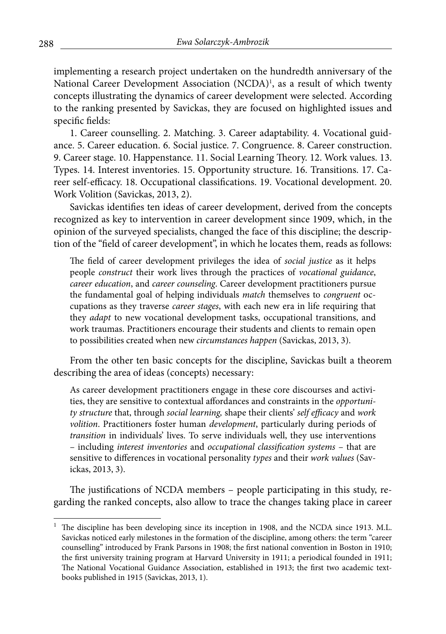implementing a research project undertaken on the hundredth anniversary of the National Career Development Association (NCDA)<sup>1</sup>, as a result of which twenty concepts illustrating the dynamics of career development were selected. According to the ranking presented by Savickas, they are focused on highlighted issues and specific fields:

1. Career counselling. 2. Matching. 3. Career adaptability. 4. Vocational guidance. 5. Career education. 6. Social justice. 7. Congruence. 8. Career construction. 9. Career stage. 10. Happenstance. 11. Social Learning Theory. 12. Work values. 13. Types. 14. Interest inventories. 15. Opportunity structure. 16. Transitions. 17. Career self-efficacy. 18. Occupational classifications. 19. Vocational development. 20. Work Volition (Savickas, 2013, 2).

Savickas identifies ten ideas of career development, derived from the concepts recognized as key to intervention in career development since 1909, which, in the opinion of the surveyed specialists, changed the face of this discipline; the description of the "field of career development", in which he locates them, reads as follows:

The field of career development privileges the idea of *social justice* as it helps people *construct* their work lives through the practices of *vocational guidance*, *career education*, and *career counseling*. Career development practitioners pursue the fundamental goal of helping individuals *match* themselves to *congruent* occupations as they traverse *career stages*, with each new era in life requiring that they *adapt* to new vocational development tasks, occupational transitions, and work traumas. Practitioners encourage their students and clients to remain open to possibilities created when new *circumstances happen* (Savickas, 2013, 3).

From the other ten basic concepts for the discipline, Savickas built a theorem describing the area of ideas (concepts) necessary:

As career development practitioners engage in these core discourses and activities, they are sensitive to contextual affordances and constraints in the *opportunity structure* that, through *social learning,* shape their clients' *self efficacy* and *work volition*. Practitioners foster human *development*, particularly during periods of *transition* in individuals' lives. To serve individuals well, they use interventions – including *interest inventories* and *occupational classification systems* – that are sensitive to differences in vocational personality *types* and their *work values* (Savickas, 2013, 3).

The justifications of NCDA members – people participating in this study, regarding the ranked concepts, also allow to trace the changes taking place in career

<sup>1</sup> The discipline has been developing since its inception in 1908, and the NCDA since 1913. M.L. Savickas noticed early milestones in the formation of the discipline, among others: the term "career counselling" introduced by Frank Parsons in 1908; the first national convention in Boston in 1910; the first university training program at Harvard University in 1911; a periodical founded in 1911; The National Vocational Guidance Association, established in 1913; the first two academic textbooks published in 1915 (Savickas, 2013, 1).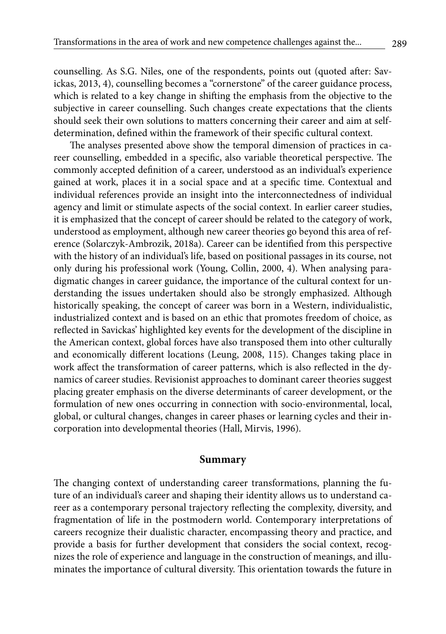counselling. As S.G. Niles, one of the respondents, points out (quoted after: Savickas, 2013, 4), counselling becomes a "cornerstone" of the career guidance process, which is related to a key change in shifting the emphasis from the objective to the subjective in career counselling. Such changes create expectations that the clients should seek their own solutions to matters concerning their career and aim at selfdetermination, defined within the framework of their specific cultural context.

The analyses presented above show the temporal dimension of practices in career counselling, embedded in a specific, also variable theoretical perspective. The commonly accepted definition of a career, understood as an individual's experience gained at work, places it in a social space and at a specific time. Contextual and individual references provide an insight into the interconnectedness of individual agency and limit or stimulate aspects of the social context. In earlier career studies, it is emphasized that the concept of career should be related to the category of work, understood as employment, although new career theories go beyond this area of reference (Solarczyk-Ambrozik, 2018a). Career can be identified from this perspective with the history of an individual's life, based on positional passages in its course, not only during his professional work (Young, Collin, 2000, 4). When analysing paradigmatic changes in career guidance, the importance of the cultural context for understanding the issues undertaken should also be strongly emphasized. Although historically speaking, the concept of career was born in a Western, individualistic, industrialized context and is based on an ethic that promotes freedom of choice, as reflected in Savickas' highlighted key events for the development of the discipline in the American context, global forces have also transposed them into other culturally and economically different locations (Leung, 2008, 115). Changes taking place in work affect the transformation of career patterns, which is also reflected in the dynamics of career studies. Revisionist approaches to dominant career theories suggest placing greater emphasis on the diverse determinants of career development, or the formulation of new ones occurring in connection with socio-environmental, local, global, or cultural changes, changes in career phases or learning cycles and their incorporation into developmental theories (Hall, Mirvis, 1996).

#### **Summary**

The changing context of understanding career transformations, planning the future of an individual's career and shaping their identity allows us to understand career as a contemporary personal trajectory reflecting the complexity, diversity, and fragmentation of life in the postmodern world. Contemporary interpretations of careers recognize their dualistic character, encompassing theory and practice, and provide a basis for further development that considers the social context, recognizes the role of experience and language in the construction of meanings, and illuminates the importance of cultural diversity. This orientation towards the future in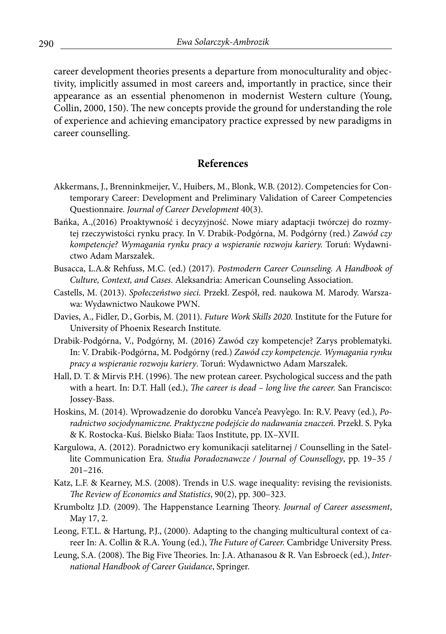career development theories presents a departure from monoculturality and objectivity, implicitly assumed in most careers and, importantly in practice, since their appearance as an essential phenomenon in modernist Western culture (Young, Collin, 2000, 150). The new concepts provide the ground for understanding the role of experience and achieving emancipatory practice expressed by new paradigms in career counselling.

# **References**

- Akkermans, J., Brenninkmeijer, V., Huibers, M., Blonk, W.B. (2012). Competencies for Contemporary Career: Development and Preliminary Validation of Career Competencies Questionnaire. *Journal of Career Development* 40(3).
- Bańka, A.,(2016) Proaktywność i decyzyjność. Nowe miary adaptacji twórczej do rozmytej rzeczywistości rynku pracy. In V. Drabik-Podgórna, M. Podgórny (red.) *Zawód czy kompetencje? Wymagania rynku pracy a wspieranie rozwoju kariery.* Toruń: Wydawnictwo Adam Marszałek.
- Busacca, L.A.& Rehfuss, M.C. (ed.) (2017). *Postmodern Career Counseling. A Handbook of Culture, Context, and Cases.* Aleksandria: American Counseling Association.
- Castells, M. (2013). *Społeczeństwo sieci.* Przekł. Zespół, red. naukowa M. Marody. Warszawa: Wydawnictwo Naukowe PWN.
- Davies, A., Fidler, D., Gorbis, M. (2011). *Future Work Skills 2020.* Institute for the Future for University of Phoenix Research Institute.
- Drabik-Podgórna, V., Podgórny, M. (2016) Zawód czy kompetencje? Zarys problematyki. In: V. Drabik-Podgórna, M. Podgórny (red.) *Zawód czy kompetencje. Wymagania rynku pracy a wspieranie rozwoju kariery*. Toruń: Wydawnictwo Adam Marszałek.
- Hall, D. T. & Mirvis P.H. (1996). The new protean career. Psychological success and the path with a heart. In: D.T. Hall (ed.), *The career is dead – long live the career.* San Francisco: Jossey-Bass.
- Hoskins, M. (2014). Wprowadzenie do dorobku Vance'a Peavy'ego. In: R.V. Peavy (ed.), *Poradnictwo socjodynamiczne. Praktyczne podejście do nadawania znaczeń.* Przekł. S. Pyka & K. Rostocka-Kuś. Bielsko Biała: Taos Institute, pp. IX–XVII.
- Kargulowa, A. (2012). Poradnictwo ery komunikacji satelitarnej / Counselling in the Satellite Communication Era. *Studia Poradoznawcze / Journal of Counsellogy*, pp. 19–35 / 201–216.
- Katz, L.F. & Kearney, M.S. (2008). Trends in U.S. wage inequality: revising the revisionists. *The Review of Economics and Statistics*, 90(2), pp. 300–323.
- Krumboltz J.D. (2009). The Happenstance Learning Theory. *Journal of Career assessment*, May 17, 2.
- Leong, F.T.L. & Hartung, P.J., (2000). Adapting to the changing multicultural context of career In: A. Collin & R.A. Young (ed.), *The Future of Career.* Cambridge University Press.
- Leung, S.A. (2008). The Big Five Theories. In: J.A. Athanasou & R. Van Esbroeck (ed.), *International Handbook of Career Guidance*, Springer.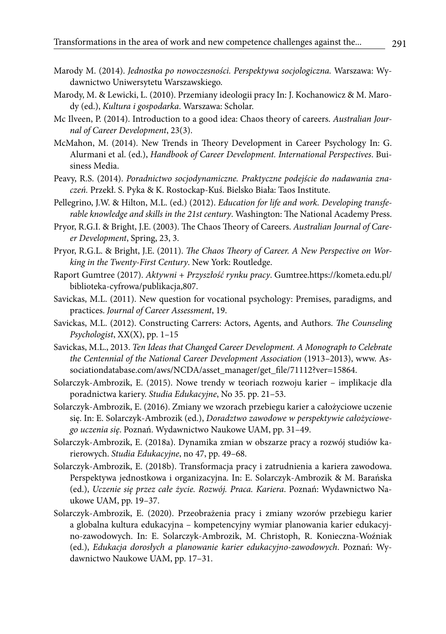- Marody M. (2014). *Jednostka po nowoczesności. Perspektywa socjologiczna.* Warszawa: Wydawnictwo Uniwersytetu Warszawskiego.
- Marody, M. & Lewicki, L. (2010). Przemiany ideologii pracy In: J. Kochanowicz & M. Marody (ed.), *Kultura i gospodarka*. Warszawa: Scholar.
- Mc Ilveen, P. (2014). Introduction to a good idea: Chaos theory of careers. *Australian Journal of Career Development*, 23(3).
- McMahon, M. (2014). New Trends in Theory Development in Career Psychology In: G. Alurmani et al. (ed.), *Handbook of Career Development. International Perspectives*. Buisiness Media.
- Peavy, R.S. (2014). *Poradnictwo socjodynamiczne. Praktyczne podejście do nadawania znaczeń.* Przekł. S. Pyka & K. Rostockap-Kuś. Bielsko Biała: Taos Institute.
- Pellegrino, J.W. & Hilton, M.L. (ed.) (2012). *Education for life and work. Developing transferable knowledge and skills in the 21st century*. Washington: The National Academy Press.
- Pryor, R.G.I. & Bright, J.E. (2003). The Chaos Theory of Careers. *Australian Journal of Career Development*, Spring, 23, 3.
- Pryor, R.G.L. & Bright, J.E. (2011). *The Chaos Theory of Career. A New Perspective on Working in the Twenty-First Century*. New York: Routledge.
- Raport Gumtree (2017). *Aktywni + Przyszłość rynku pracy*. Gumtree.https://kometa.edu.pl/ biblioteka-cyfrowa/publikacja,807.
- Savickas, M.L. (2011). New question for vocational psychology: Premises, paradigms, and practices. *Journal of Career Assessment*, 19.
- Savickas, M.L. (2012). Constructing Carrers: Actors, Agents, and Authors. *The Counseling Psychologist*, XX(X), pp. 1–15
- Savickas, M.L., 2013. *Ten Ideas that Changed Career Development. A Monograph to Celebrate the Centennial of the National Career Development Association* (1913–2013), www. Associationdatabase.com/aws/NCDA/asset\_manager/get\_file/71112?ver=15864.
- Solarczyk-Ambrozik, E. (2015). Nowe trendy w teoriach rozwoju karier implikacje dla poradnictwa kariery. *Studia Edukacyjne*, No 35. pp. 21–53.
- Solarczyk-Ambrozik, E. (2016). Zmiany we wzorach przebiegu karier a całożyciowe uczenie się. In: E. Solarczyk-Ambrozik (ed.), *Doradztwo zawodowe w perspektywie całożyciowego uczenia się*. Poznań. Wydawnictwo Naukowe UAM, pp. 31–49.
- Solarczyk-Ambrozik, E. (2018a). Dynamika zmian w obszarze pracy a rozwój studiów karierowych. *Studia Edukacyjne*, no 47, pp. 49–68.
- Solarczyk-Ambrozik, E. (2018b). Transformacja pracy i zatrudnienia a kariera zawodowa. Perspektywa jednostkowa i organizacyjna. In: E. Solarczyk-Ambrozik & M. Barańska (ed.), *Uczenie się przez całe życie. Rozwój. Praca. Kariera*. Poznań: Wydawnictwo Naukowe UAM, pp. 19–37.
- Solarczyk-Ambrozik, E. (2020). Przeobrażenia pracy i zmiany wzorów przebiegu karier a globalna kultura edukacyjna – kompetencyjny wymiar planowania karier edukacyjno-zawodowych. In: E. Solarczyk-Ambrozik, M. Christoph, R. Konieczna-Woźniak (ed.), *Edukacja dorosłych a planowanie karier edukacyjno-zawodowych*. Poznań: Wydawnictwo Naukowe UAM, pp. 17–31.